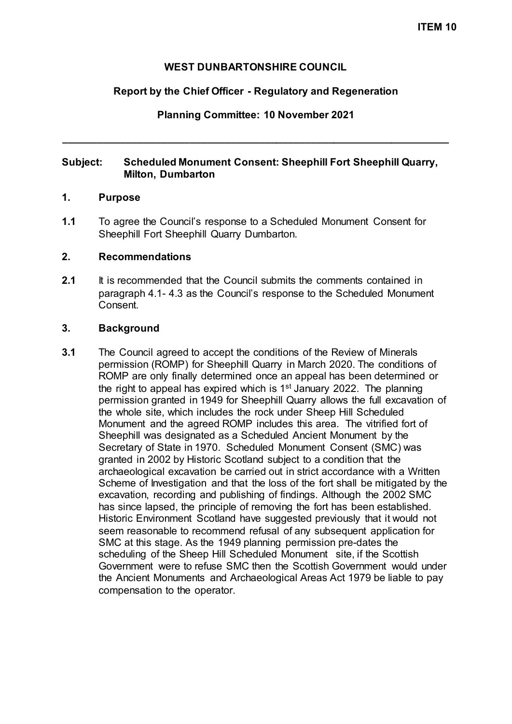### **WEST DUNBARTONSHIRE COUNCIL**

### **Report by the Chief Officer - Regulatory and Regeneration**

## **Planning Committee: 10 November 2021**

**\_\_\_\_\_\_\_\_\_\_\_\_\_\_\_\_\_\_\_\_\_\_\_\_\_\_\_\_\_\_\_\_\_\_\_\_\_\_\_\_\_\_\_\_\_\_\_\_\_\_\_\_\_\_\_\_\_\_\_\_\_\_\_\_\_\_\_**

## **Subject: Scheduled Monument Consent: Sheephill Fort Sheephill Quarry, Milton, Dumbarton**

### **1. Purpose**

**1.1** To agree the Council's response to a Scheduled Monument Consent for Sheephill Fort Sheephill Quarry Dumbarton.

### **2. Recommendations**

**2.1** It is recommended that the Council submits the comments contained in paragraph 4.1- 4.3 as the Council's response to the Scheduled Monument Consent.

### **3. Background**

**3.1** The Council agreed to accept the conditions of the Review of Minerals permission (ROMP) for Sheephill Quarry in March 2020. The conditions of ROMP are only finally determined once an appeal has been determined or the right to appeal has expired which is  $1<sup>st</sup>$  January 2022. The planning permission granted in 1949 for Sheephill Quarry allows the full excavation of the whole site, which includes the rock under Sheep Hill Scheduled Monument and the agreed ROMP includes this area. The vitrified fort of Sheephill was designated as a Scheduled Ancient Monument by the Secretary of State in 1970. Scheduled Monument Consent (SMC) was granted in 2002 by Historic Scotland subject to a condition that the archaeological excavation be carried out in strict accordance with a Written Scheme of Investigation and that the loss of the fort shall be mitigated by the excavation, recording and publishing of findings. Although the 2002 SMC has since lapsed, the principle of removing the fort has been established. Historic Environment Scotland have suggested previously that it would not seem reasonable to recommend refusal of any subsequent application for SMC at this stage. As the 1949 planning permission pre-dates the scheduling of the Sheep Hill Scheduled Monument site, if the Scottish Government were to refuse SMC then the Scottish Government would under the Ancient Monuments and Archaeological Areas Act 1979 be liable to pay compensation to the operator.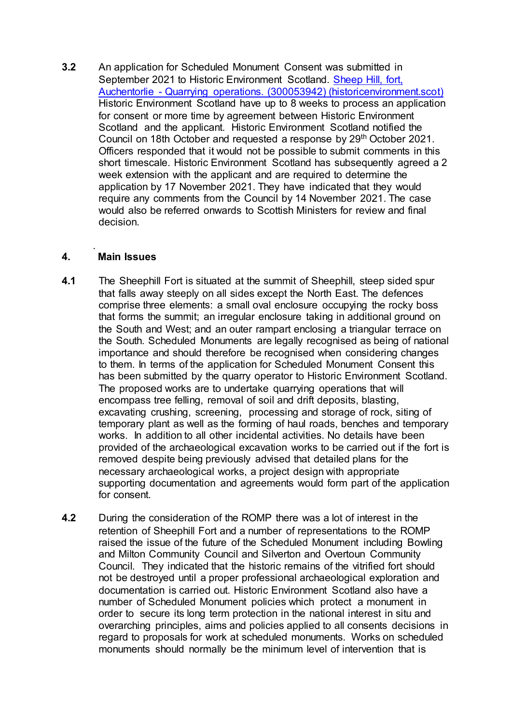**3.2** An application for Scheduled Monument Consent was submitted in September 2021 to Historic Environment Scotland. Sheep Hill, fort, Auchentorlie - [Quarrying operations. \(300053942\) \(historicenvironment.scot\)](https://portal.historicenvironment.scot/decision/900037619) Historic Environment Scotland have up to 8 weeks to process an application for consent or more time by agreement between Historic Environment Scotland and the applicant. Historic Environment Scotland notified the Council on 18th October and requested a response by 29th October 2021. Officers responded that it would not be possible to submit comments in this short timescale. Historic Environment Scotland has subsequently agreed a 2 week extension with the applicant and are required to determine the application by 17 November 2021. They have indicated that they would require any comments from the Council by 14 November 2021. The case would also be referred onwards to Scottish Ministers for review and final decision.

#### . **4. Main Issues**

- **4.1** The Sheephill Fort is situated at the summit of Sheephill, steep sided spur that falls away steeply on all sides except the North East. The defences comprise three elements: a small oval enclosure occupying the rocky boss that forms the summit; an irregular enclosure taking in additional ground on the South and West; and an outer rampart enclosing a triangular terrace on the South. Scheduled Monuments are legally recognised as being of national importance and should therefore be recognised when considering changes to them. In terms of the application for Scheduled Monument Consent this has been submitted by the quarry operator to Historic Environment Scotland. The proposed works are to undertake quarrying operations that will encompass tree felling, removal of soil and drift deposits, blasting, excavating crushing, screening, processing and storage of rock, siting of temporary plant as well as the forming of haul roads, benches and temporary works. In addition to all other incidental activities. No details have been provided of the archaeological excavation works to be carried out if the fort is removed despite being previously advised that detailed plans for the necessary archaeological works, a project design with appropriate supporting documentation and agreements would form part of the application for consent.
- **4.2** During the consideration of the ROMP there was a lot of interest in the retention of Sheephill Fort and a number of representations to the ROMP raised the issue of the future of the Scheduled Monument including Bowling and Milton Community Council and Silverton and Overtoun Community Council. They indicated that the historic remains of the vitrified fort should not be destroyed until a proper professional archaeological exploration and documentation is carried out. Historic Environment Scotland also have a number of Scheduled Monument policies which protect a monument in order to secure its long term protection in the national interest in situ and overarching principles, aims and policies applied to all consents decisions in regard to proposals for work at scheduled monuments. Works on scheduled monuments should normally be the minimum level of intervention that is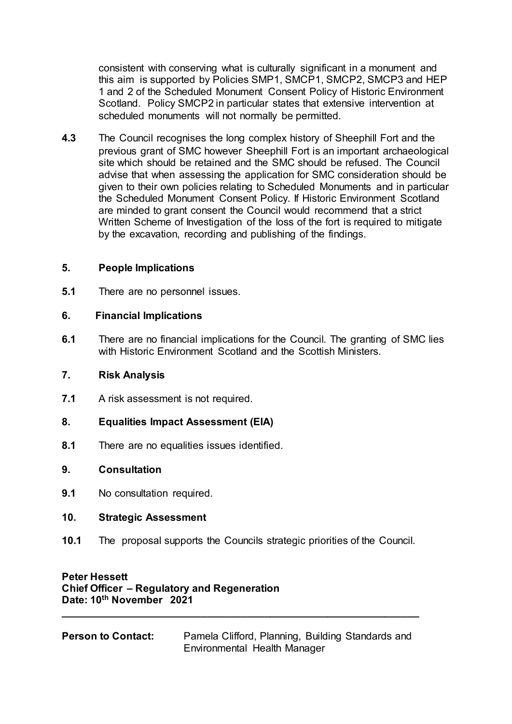consistent with conserving what is culturally significant in a monument and this aim is supported by Policies SMP1, SMCP1, SMCP2, SMCP3 and HEP 1 and 2 of the Scheduled Monument Consent Policy of Historic Environment Scotland. Policy SMCP2 in particular states that extensive intervention at scheduled monuments will not normally be permitted.

**4.3** The Council recognises the long complex history of Sheephill Fort and the previous grant of SMC however Sheephill Fort is an important archaeological site which should be retained and the SMC should be refused. The Council advise that when assessing the application for SMC consideration should be given to their own policies relating to Scheduled Monuments and in particular the Scheduled Monument Consent Policy. If Historic Environment Scotland are minded to grant consent the Council would recommend that a strict Written Scheme of Investigation of the loss of the fort is required to mitigate by the excavation, recording and publishing of the findings.

## **5. People Implications**

**5.1** There are no personnel issues.

# **6. Financial Implications**

**6.1** There are no financial implications for the Council. The granting of SMC lies with Historic Environment Scotland and the Scottish Ministers.

## **7. Risk Analysis**

- **7.1** A risk assessment is not required.
- **8. Equalities Impact Assessment (EIA)**
- **8.1** There are no equalities issues identified.

## **9. Consultation**

**9.1** No consultation required.

## **10. Strategic Assessment**

**10.1** The proposal supports the Councils strategic priorities of the Council.

# **Peter Hessett Chief Officer – Regulatory and Regeneration Date: 10th November 2021**

**Person to Contact:** Pamela Clifford, Planning, Building Standards and Environmental Health Manager

**\_\_\_\_\_\_\_\_\_\_\_\_\_\_\_\_\_\_\_\_\_\_\_\_\_\_\_\_\_\_\_\_\_\_\_\_\_\_\_\_\_\_\_\_\_\_\_\_\_\_\_\_\_\_\_\_\_\_\_\_\_\_**